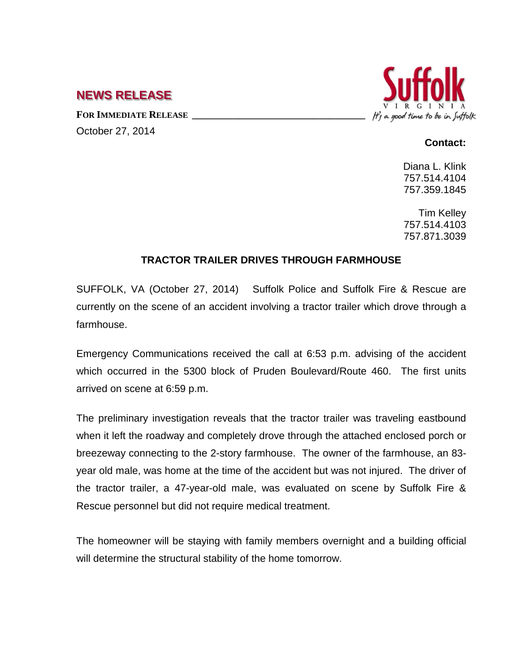## **NEWS RELEASE**

FOR **IMMEDIATE RELEASE** October 27, 2014



## **Contact:**

Diana L. Klink 757.514.4104 757.359.1845

Tim Kelley 757.514.4103 757.871.3039

## **TRACTOR TRAILER DRIVES THROUGH FARMHOUSE**

SUFFOLK, VA (October 27, 2014) Suffolk Police and Suffolk Fire & Rescue are currently on the scene of an accident involving a tractor trailer which drove through a farmhouse.

Emergency Communications received the call at 6:53 p.m. advising of the accident which occurred in the 5300 block of Pruden Boulevard/Route 460. The first units arrived on scene at 6:59 p.m.

The preliminary investigation reveals that the tractor trailer was traveling eastbound when it left the roadway and completely drove through the attached enclosed porch or breezeway connecting to the 2-story farmhouse. The owner of the farmhouse, an 83 year old male, was home at the time of the accident but was not injured. The driver of the tractor trailer, a 47-year-old male, was evaluated on scene by Suffolk Fire & Rescue personnel but did not require medical treatment.

The homeowner will be staying with family members overnight and a building official will determine the structural stability of the home tomorrow.